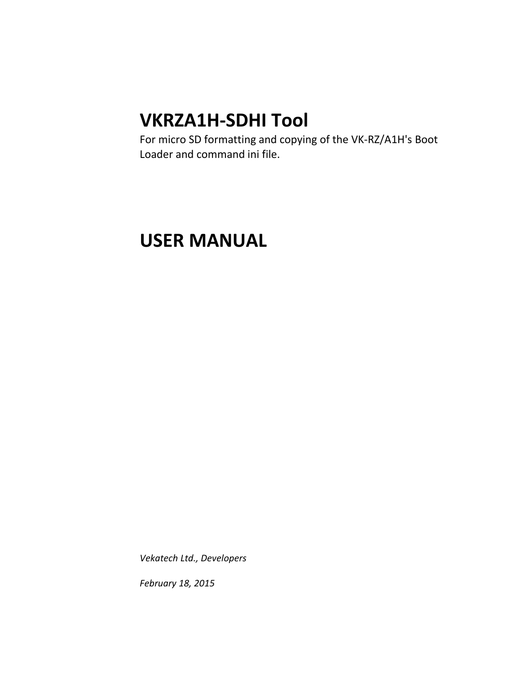# **VKRZA1H-SDHI Tool**

For micro SD formatting and copying of the VK-RZ/A1H's Boot Loader and command ini file.

# **USER MANUAL**

*Vekatech Ltd., Developers*

*February 18, 2015*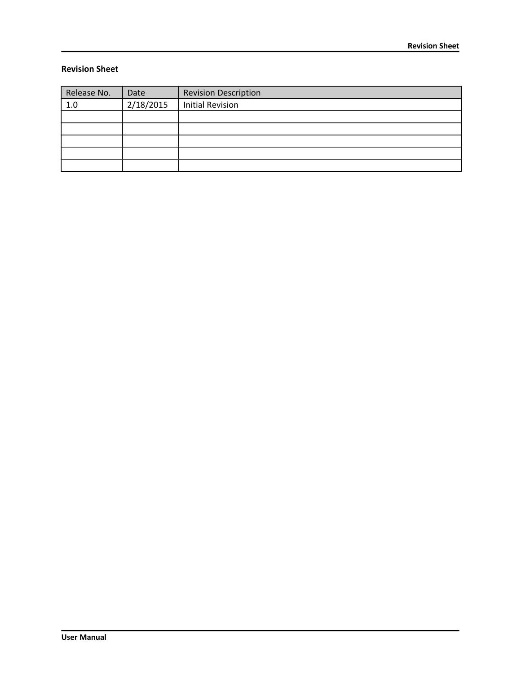#### **Revision Sheet**

| Release No. | Date      | <b>Revision Description</b> |
|-------------|-----------|-----------------------------|
| 1.0         | 2/18/2015 | <b>Initial Revision</b>     |
|             |           |                             |
|             |           |                             |
|             |           |                             |
|             |           |                             |
|             |           |                             |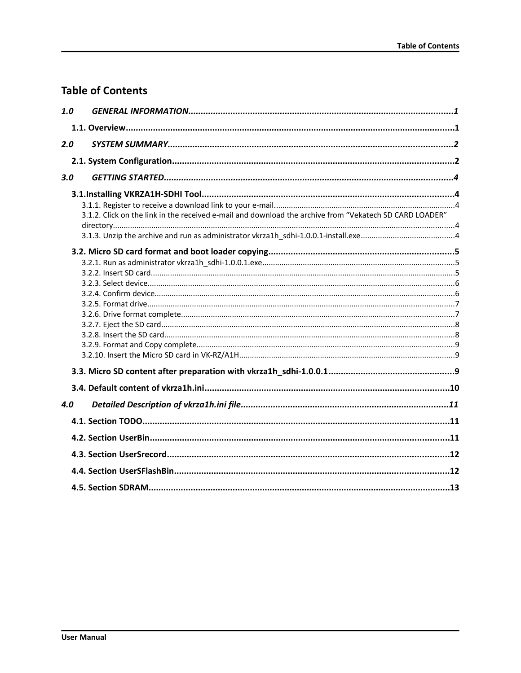# **Table of Contents**

| 1.0 |                                                                                                         |  |
|-----|---------------------------------------------------------------------------------------------------------|--|
|     |                                                                                                         |  |
| 2.0 |                                                                                                         |  |
|     |                                                                                                         |  |
| 3.0 |                                                                                                         |  |
|     |                                                                                                         |  |
|     | 3.1.2. Click on the link in the received e-mail and download the archive from "Vekatech SD CARD LOADER" |  |
|     |                                                                                                         |  |
|     |                                                                                                         |  |
|     |                                                                                                         |  |
|     |                                                                                                         |  |
| 4.0 |                                                                                                         |  |
|     |                                                                                                         |  |
|     |                                                                                                         |  |
|     |                                                                                                         |  |
|     |                                                                                                         |  |
|     |                                                                                                         |  |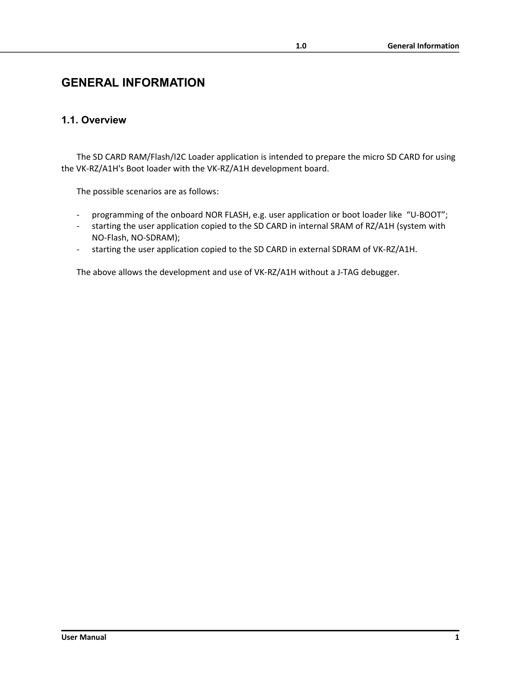# <span id="page-3-0"></span>**GENERAL INFORMATION**

#### <span id="page-3-1"></span>**1.1. Overview**

The SD CARD RAM/Flash/I2C Loader application is intended to prepare the micro SD CARD for using the VK-RZ/A1H's Boot loader with the VK-RZ/A1H development board.

The possible scenarios are as follows:

- programming of the onboard NOR FLASH, e.g. user application or boot loader like "U-BOOT";
- starting the user application copied to the SD CARD in internal SRAM of RZ/A1H (system with NO-Flash, NO-SDRAM);
- starting the user application copied to the SD CARD in external SDRAM of VK-RZ/A1H.

The above allows the development and use of VK-RZ/A1H without a J-TAG debugger.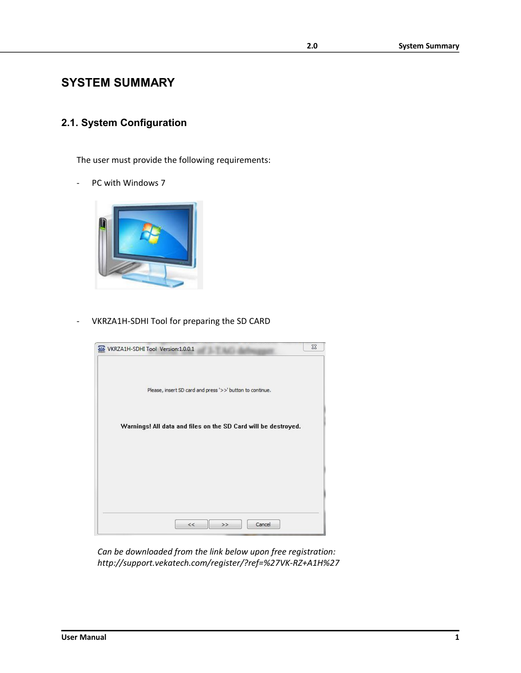# <span id="page-4-1"></span>**SYSTEM SUMMARY**

## <span id="page-4-0"></span>**2.1. System Configuration**

The user must provide the following requirements:

- PC with Windows 7



VKRZA1H-SDHI Tool for preparing the SD CARD



*Can be downloaded from the link below upon free registration: http://support.vekatech.com/register/?ref=%27VK-RZ+A1H%27*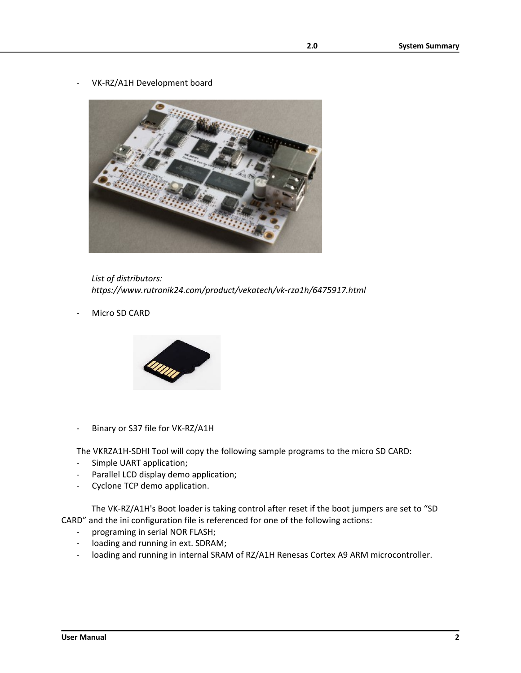VK-RZ/A1H Development board



*List of distributors: https://www.rutronik24.com/product/vekatech/vk-rza1h/6475917.html*

Micro SD CARD



- Binary or S37 file for VK-RZ/A1H

The VKRZA1H-SDHI Tool will copy the following sample programs to the micro SD CARD:

- Simple UART application;
- Parallel LCD display demo application;
- Cyclone TCP demo application.

The VK-RZ/A1H's Boot loader is taking control after reset if the boot jumpers are set to "SD CARD" and the ini configuration file is referenced for one of the following actions:

- programing in serial NOR FLASH;
- loading and running in ext. SDRAM;
- loading and running in internal SRAM of RZ/A1H Renesas Cortex A9 ARM microcontroller.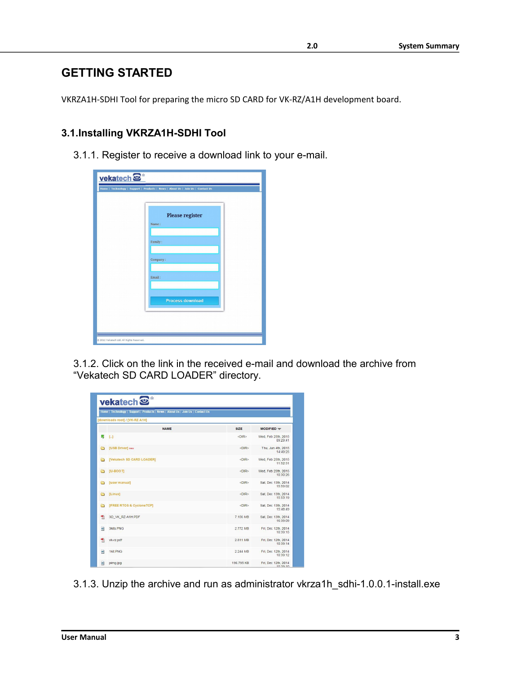# <span id="page-6-4"></span>**GETTING STARTED**

VKRZA1H-SDHI Tool for preparing the micro SD CARD for VK-RZ/A1H development board.

## <span id="page-6-3"></span>**3.1.Installing VKRZA1H-SDHI Tool**

<span id="page-6-2"></span>3.1.1. Register to receive a download link to your e-mail.

| vekatech <sup>®</sup>                     | Home   Technology   Support   Products   News   About Us   Join Us   Contact Us |
|-------------------------------------------|---------------------------------------------------------------------------------|
|                                           | Please register<br>Name:                                                        |
|                                           | Family:                                                                         |
|                                           | Company:                                                                        |
|                                           | Email:                                                                          |
|                                           | <b>Process download</b>                                                         |
|                                           |                                                                                 |
| @ 2012 Vekatech Ltd. All Rights Reserved. |                                                                                 |

<span id="page-6-1"></span>3.1.2. Click on the link in the received e-mail and download the archive from "Vekatech SD CARD LOADER" directory.

| Home   Technology   Support   Products   News   About Us   Join Us   Contact Us |                                |             |                                 |  |
|---------------------------------------------------------------------------------|--------------------------------|-------------|---------------------------------|--|
|                                                                                 | [downloads root] / [VK-RZ A1H] |             |                                 |  |
|                                                                                 | <b>NAME</b>                    | <b>SIZE</b> | MODIFIED -                      |  |
| W)                                                                              | [                              | <dir></dir> | Wed, Feb 25th, 2015<br>09:29:41 |  |
| A                                                                               | [USB Driver] new               | <dir></dir> | Thu, Jun 4th, 2015<br>14:49:25  |  |
| a                                                                               | [Vekatech SD CARD LOADER]      | <dir></dir> | Wed, Feb 25th, 2015<br>11:52:31 |  |
| ò                                                                               | [U-BOOT]                       | <dir></dir> | Wed, Feb 25th, 2015<br>10:30:26 |  |
| ò                                                                               | [user manual]                  | <dir></dir> | Sat, Dec 13th, 2014<br>15:59:02 |  |
| ò                                                                               | [Linux]                        | <dir></dir> | Sat, Dec 13th, 2014<br>15:53:19 |  |
| A                                                                               | [FREE RTOS & CycloneTCP]       | <dir></dir> | Sat. Dec 13th, 2014<br>15:48:49 |  |
| 쿳                                                                               | 3D VK RZ-A1H.PDF               | 7.156 MB    | Sat, Dec 13th, 2014<br>16:39:09 |  |
| e                                                                               | <b>3kits PNG</b>               | 2772 MB     | Fri. Dec 12th. 2014<br>10:39:15 |  |
| 빳                                                                               | vk-rz.pdf                      | 2.811 MB    | Fri, Dec 12th, 2014<br>10:39:14 |  |
| e                                                                               | 1kit.PNG                       | 2.244 MB    | Fri. Dec 12th. 2014<br>10:39:12 |  |
| 回                                                                               | pimg.jpg                       | 196.795 KB  | Fri, Dec 12th, 2014<br>10.39:10 |  |

<span id="page-6-0"></span>3.1.3. Unzip the archive and run as administrator vkrza1h\_sdhi-1.0.0.1-install.exe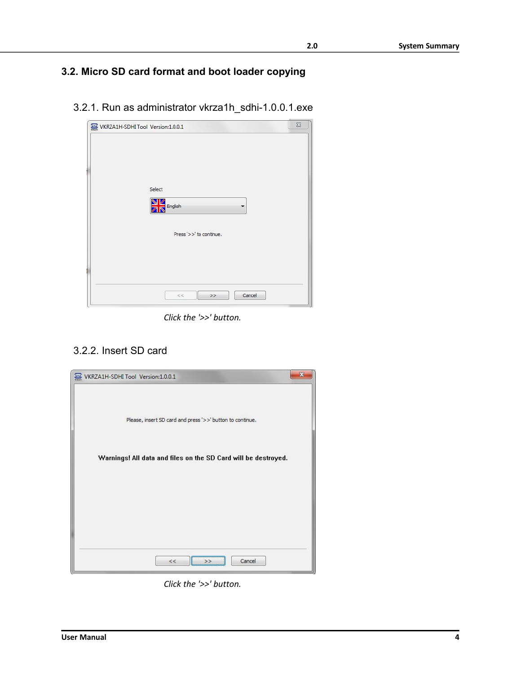# <span id="page-7-2"></span>**3.2. Micro SD card format and boot loader copying**

<span id="page-7-1"></span>3.2.1. Run as administrator vkrza1h\_sdhi-1.0.0.1.exe

| WKRZA1H-SDHI Tool Version:1.0.0.1 |                              | $\Sigma$ |
|-----------------------------------|------------------------------|----------|
|                                   |                              |          |
|                                   |                              |          |
|                                   |                              |          |
|                                   | Select                       |          |
|                                   | <b>N</b><br><b>Z</b> English |          |
|                                   |                              |          |
|                                   | Press '>>' to continue.      |          |
|                                   |                              |          |
|                                   |                              |          |
|                                   |                              |          |
|                                   | Cancel<br>$<<$<br>>          |          |
|                                   |                              |          |

*Click the '>>' button.*

# <span id="page-7-0"></span>3.2.2. Insert SD card



*Click the '>>' button.*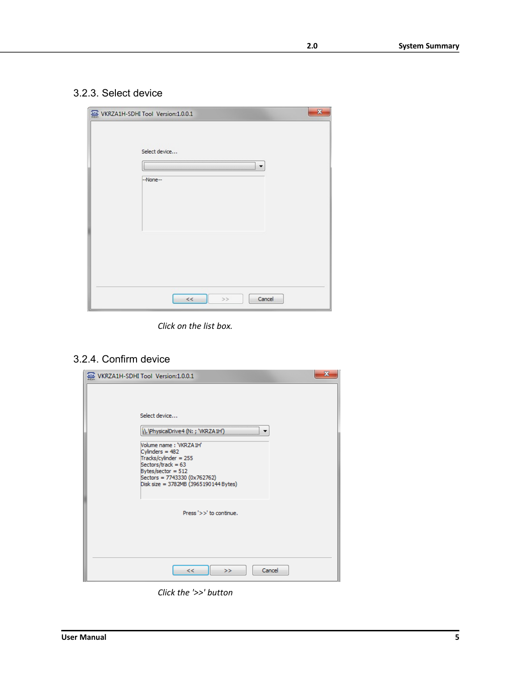### <span id="page-8-1"></span>3.2.3. Select device

| $\mathbf{x}$<br>WKRZA1H-SDHI Tool Version:1.0.0.1 |
|---------------------------------------------------|
| Select device<br>--None--                         |
| Cancel<br>$<<$<br>$>>$                            |

*Click on the list box.*

# <span id="page-8-0"></span>3.2.4. Confirm device

| x<br>WKRZA1H-SDHI Tool Version:1.0.0.1                                                                                                                                                                                                      |
|---------------------------------------------------------------------------------------------------------------------------------------------------------------------------------------------------------------------------------------------|
| Select device<br>ysicalDrive4 (N: ; 'VKR<br>Volume name: 'VKRZA1H'<br>Cylinders = $482$<br>$Tracks/cylinder = 255$<br>Sectors/track = $63$<br>Bytes/sector = $512$<br>Sectors = 7743330 (0x762762)<br>Disk size = 3782MB (3965190144 Bytes) |
| Press '>>' to continue.                                                                                                                                                                                                                     |
| Cancel<br><<<br>>>                                                                                                                                                                                                                          |

*Click the '>>' button*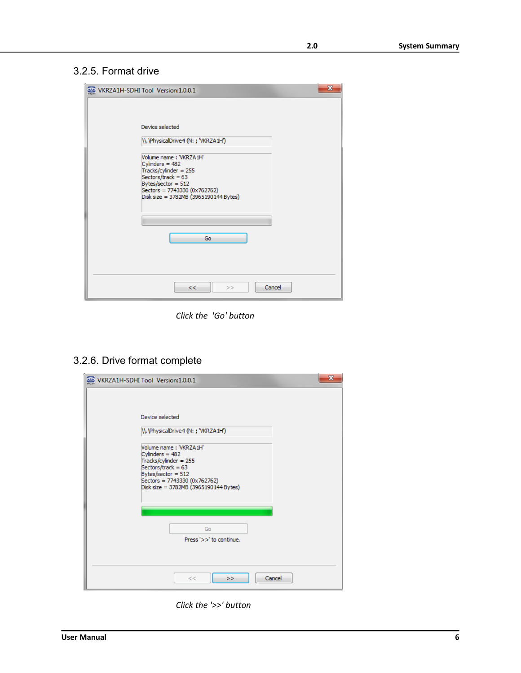#### <span id="page-9-1"></span>3.2.5. Format drive

| X<br>WKRZA1H-SDHI Tool Version:1.0.0.1                                                                                                                                                                           |
|------------------------------------------------------------------------------------------------------------------------------------------------------------------------------------------------------------------|
| Device selected<br>\\.\PhysicalDrive4 (N: ; 'VKRZA1H')<br>Volume name: 'VKRZA1H'<br>Cylinders = $482$<br>Tracks/cylinder = $255$<br>Sectors/track = $63$<br>Bytes/sector = $512$<br>Sectors = 7743330 (0x762762) |
| Disk size = 3782MB (3965190144 Bytes)<br>Go<br>Cancel<br><<<br>>>                                                                                                                                                |

*Click the 'Go' button*

<span id="page-9-0"></span>3.2.6. Drive format complete

| x<br>WKRZA1H-SDHI Tool Version:1.0.0.1                                                                                                                                                        |
|-----------------------------------------------------------------------------------------------------------------------------------------------------------------------------------------------|
| Device selected                                                                                                                                                                               |
| \\. \PhysicalDrive4 (N: ; 'VKRZA1H')                                                                                                                                                          |
| Volume name: 'VKRZA1H'<br>Cylinders = $482$<br>Tracks/cylinder = 255<br>Sectors/track = $63$<br>Bytes/sector = $512$<br>Sectors = 7743330 (0x762762)<br>Disk size = 3782MB (3965190144 Bytes) |
| Go<br>Press '>>' to continue.                                                                                                                                                                 |
| Cancel<br><<<br>>>                                                                                                                                                                            |

*Click the '>>' button*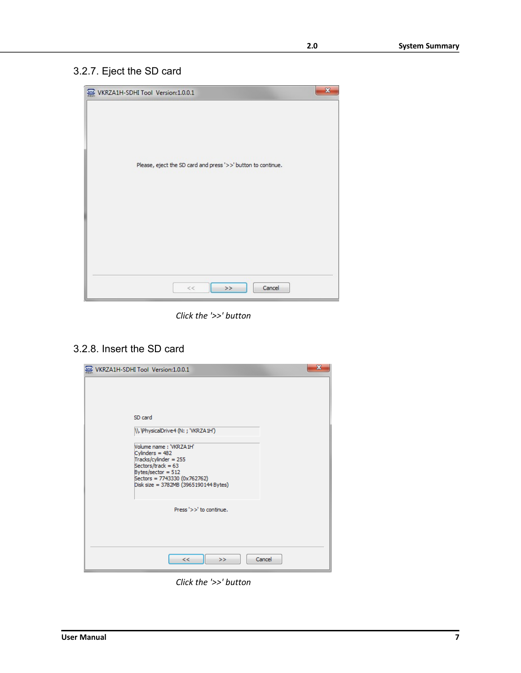# <span id="page-10-1"></span>3.2.7. Eject the SD card



*Click the '>>' button*

# <span id="page-10-0"></span>3.2.8. Insert the SD card

| x<br>WKRZA1H-SDHI Tool Version:1.0.0.1                                                                                                                                                                                                          |
|-------------------------------------------------------------------------------------------------------------------------------------------------------------------------------------------------------------------------------------------------|
| SD card<br>\\.\PhysicalDrive4 (N: ; 'VKRZA1H')<br>Volume name: 'VKRZA1H'<br>Cylinders = $482$<br>Tracks/cylinder = 255<br>Sectors/track = $63$<br>Bytes/sector = $512$<br>Sectors = 7743330 (0x762762)<br>Disk size = 3782MB (3965190144 Bytes) |
| Press '>>' to continue.                                                                                                                                                                                                                         |
| Cancel<br><<<br>>                                                                                                                                                                                                                               |

*Click the '>>' button*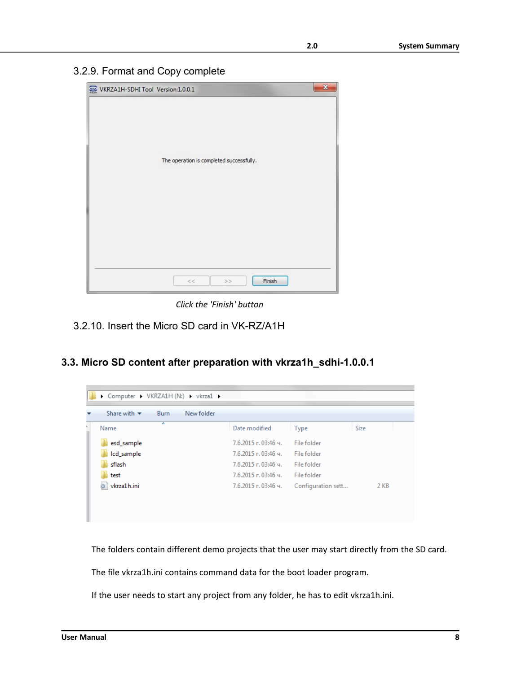<span id="page-11-2"></span>3.2.9. Format and Copy complete

| WKRZA1H-SDHI Tool Version:1.0.0.1 | $\mathbf{x}$                             |  |
|-----------------------------------|------------------------------------------|--|
|                                   | The operation is completed successfully. |  |
|                                   | Finish<br>$<<$<br>$>>$                   |  |

*Click the 'Finish' button*

- <span id="page-11-1"></span>3.2.10. Insert the Micro SD card in VK-RZ/A1H
- <span id="page-11-0"></span>**3.3. Micro SD content after preparation with vkrza1h\_sdhi-1.0.0.1**

| ≖<br>Date modified<br>Size<br>Name<br>Type<br>esd_sample<br>7.6.2015 г. 03:46 ч.<br>File folder<br>Icd_sample<br>$7.6.2015$ г. 03:46 ч.<br>File folder<br>sflash<br>7.6.2015 г. 03:46 ч. | Share with $\blacktriangledown$<br>New folder<br>Burn |             |      |
|------------------------------------------------------------------------------------------------------------------------------------------------------------------------------------------|-------------------------------------------------------|-------------|------|
|                                                                                                                                                                                          |                                                       |             |      |
|                                                                                                                                                                                          |                                                       |             |      |
|                                                                                                                                                                                          |                                                       |             |      |
|                                                                                                                                                                                          |                                                       | File folder |      |
| $7.6.2015$ г. 03:46 ч.<br>File folder<br>test                                                                                                                                            |                                                       |             |      |
| vkrza1h.ini<br>7.6.2015 г. 03:46 ч.<br>Configuration sett                                                                                                                                |                                                       |             | 2 KB |

The folders contain different demo projects that the user may start directly from the SD card.

The file vkrza1h.ini contains command data for the boot loader program.

If the user needs to start any project from any folder, he has to edit vkrza1h.ini.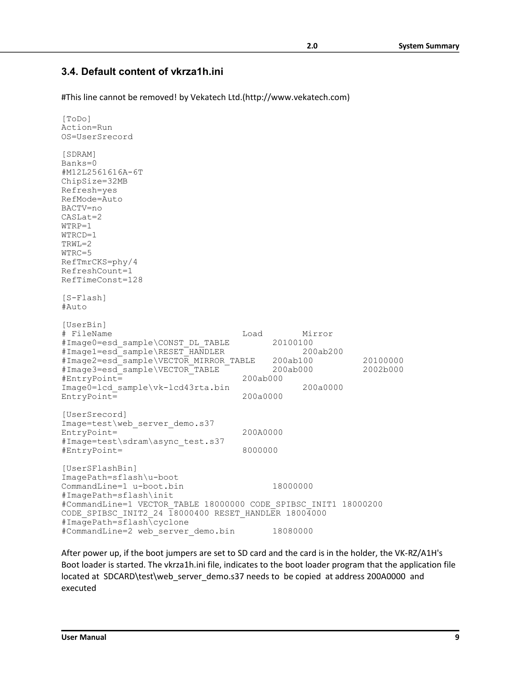#### <span id="page-12-0"></span>**3.4. Default content of vkrza1h.ini**

#This line cannot be removed! by Vekatech Ltd.(http://www.vekatech.com)

```
[ToDo]
Action=Run
OS=UserSrecord
[SDRAM]
Banks=0
#M12L2561616A-6T
ChipSize=32MB
Refresh=yes
RefMode=Auto
BACTV=no
CASLat=2
WTRP=1
WTRCD=1
TRWL=2
WTRC=5
RefTmrCKS=phy/4
RefreshCount=1
RefTimeConst=128
[S-Flash]
#Auto
[UserBin]
# FileName Load Mirror
#Image0=esd_sample\CONST_DL_TABLE
#Image1=esd_sample\RESET_HANDLER 200ab200
#Image2=esd_sample\VECTOR_MIRROR_TABLE 200ab100 20100000
#Image3=esd_sample\VECTOR_TABLE 200ab000 2002b000
#EntryPoint=
Image0=lcd_sample\vk-lcd43rta.bin 200a0000 <br>EntryPoint= 200a0000 200a0000
EntryPoint=
[UserSrecord]
Image=test\web server demo.s37
EntropyPoint = \frac{1}{200A0000}#Image=test\sdram\async_test.s37
#EntryPoint= 8000000
[UserSFlashBin]
ImagePath=sflash\u-boot
CommandLine=1 u-boot.bin 18000000
#ImagePath=sflash\init
#CommandLine=1 VECTOR_TABLE 18000000 CODE_SPIBSC_INIT1 18000200 
CODE SPIBSC INIT2 24 \overline{18000400} RESET HANDLER 18004000
#ImagePath=sflash\cyclone
#CommandLine=2 web_server_demo.bin 18080000
```
After power up, if the boot jumpers are set to SD card and the card is in the holder, the VK-RZ/A1H's Boot loader is started. The vkrza1h.ini file, indicates to the boot loader program that the application file located at SDCARD\test\web\_server\_demo.s37 needs to be copied at address 200A0000 and executed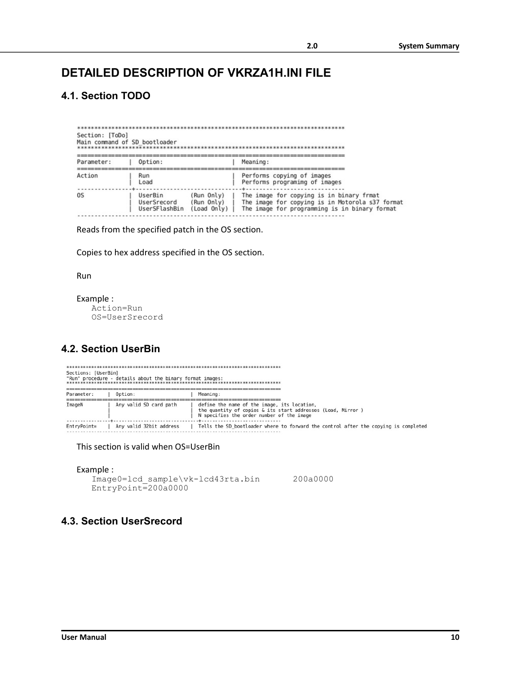# <span id="page-13-3"></span>**DETAILED DESCRIPTION OF VKRZA1H.INI FILE**

### <span id="page-13-2"></span>**4.1. Section TODO**

| Section: [ToDo]<br>Main command of SD bootloader |                                                                                                                                                                                                                                    |  |  |  |  |  |  |
|--------------------------------------------------|------------------------------------------------------------------------------------------------------------------------------------------------------------------------------------------------------------------------------------|--|--|--|--|--|--|
| Parameter:                                       | Meaning:<br>Option:                                                                                                                                                                                                                |  |  |  |  |  |  |
| Action                                           | Performs copying of images<br>Run<br>Performs programimg of images<br>Load                                                                                                                                                         |  |  |  |  |  |  |
| 0S                                               | (Run Only)<br>The image for copying is in binary frmat<br>UserBin<br>The image for copying is in Motorola s37 format<br>UserSrecord<br>(Run Only)<br>The image for programming is in binary format<br>UserSFlashBin<br>(Load Only) |  |  |  |  |  |  |

Reads from the specified patch in the OS section.

Copies to hex address specified in the OS section.

Run

```
Example :
  Action=Run
  OS=UserSrecord
```
#### <span id="page-13-1"></span>**4.2. Section UserBin**

| Sections: [UserBin] | "Run" procedure - details about the binary format images: |                                                                                                                                                         |
|---------------------|-----------------------------------------------------------|---------------------------------------------------------------------------------------------------------------------------------------------------------|
| Parameter:          | Option:                                                   | Meaning:                                                                                                                                                |
| ImageN              | Any valid SD card path                                    | define the name of the image, its location,<br>the quantity of copies & its start addresses (Load, Mirror)<br>N specifies the order number of the image |
| EntryPoint=         | Any valid 32bit address                                   | Tells the SD bootloader where to forward the control after the copying is completed                                                                     |

This section is valid when OS=UserBin

```
Example :
   Image0=lcd_sample\vk-lcd43rta.bin 200a0000
   EntryPoint=200a0000
```
### <span id="page-13-0"></span>**4.3. Section UserSrecord**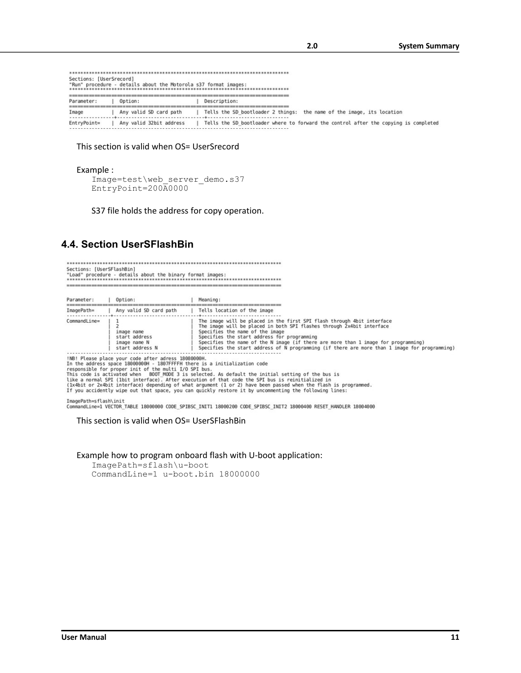| Sections: [UserSrecord] | "Run" procedure - details about the Motorola s37 format images: |                                                                                     |
|-------------------------|-----------------------------------------------------------------|-------------------------------------------------------------------------------------|
|                         |                                                                 |                                                                                     |
| Parameter:              | Option:                                                         | Description:                                                                        |
|                         |                                                                 |                                                                                     |
| Image                   | Any valid SD card path                                          | Tells the SD bootloader 2 things: the name of the image, its location               |
| EntryPoint=             | Any valid 32bit address                                         | Tells the SD bootloader where to forward the control after the copying is completed |

#### This section is valid when OS= UserSrecord

#### Example :

```
Image=test\web_server_demo.s37
EntryPoint=200A0000
```
S37 file holds the address for copy operation.

#### <span id="page-14-0"></span>**4.4. Section UserSFlashBin**

Sections: [UserSFlashBin] 

| Parameter:   | Option:                                                                                                                                                                                   | Meaning:                                                                                                                                                                                                                                                                                                                                                                                                                 |
|--------------|-------------------------------------------------------------------------------------------------------------------------------------------------------------------------------------------|--------------------------------------------------------------------------------------------------------------------------------------------------------------------------------------------------------------------------------------------------------------------------------------------------------------------------------------------------------------------------------------------------------------------------|
| ImagePath=   | Any valid SD card path                                                                                                                                                                    | Tells location of the image                                                                                                                                                                                                                                                                                                                                                                                              |
| CommandLine= | image name<br>start address<br>image name N<br>start address N                                                                                                                            | The image will be placed in the first SPI flash through 4bit interface<br>The image will be placed in both SPI flashes through 2x4bit interface<br>Specifies the name of the image<br>Specifies the start address for programming<br>Specifies the name of the N image (if there are more than 1 image for programming)<br>Specifies the start address of N programming (if there are more than 1 image for programming) |
|              | !NB! Please place your code after adress 18080000H.<br>In the address space 18000000H - 1807FFFFH there is a initialization code<br>responsible for proper init of the multi I/O SPI bus. | This code is activated when BOOT MODE 3 is selected. As default the initial setting of the bus is                                                                                                                                                                                                                                                                                                                        |

This come is activated when the buoline is selected. As default the initial setting of the bus is<br>(ixe a normal SPI (lbit interface) depending of what argument (1 or 2) have been passed when the flash is programmed.<br>(ix4bi

ImagePath=sflash\init<br>CommandLine=1 VECTOR\_TABLE 18000000 CODE\_SPIBSC\_INIT1 18000200 CODE\_SPIBSC\_INIT2 18000400 RESET\_HANDLER 18004000

This section is valid when OS= UserSFlashBin

Example how to program onboard flash with U-boot application:

ImagePath=sflash\u-boot CommandLine=1 u-boot.bin 18000000